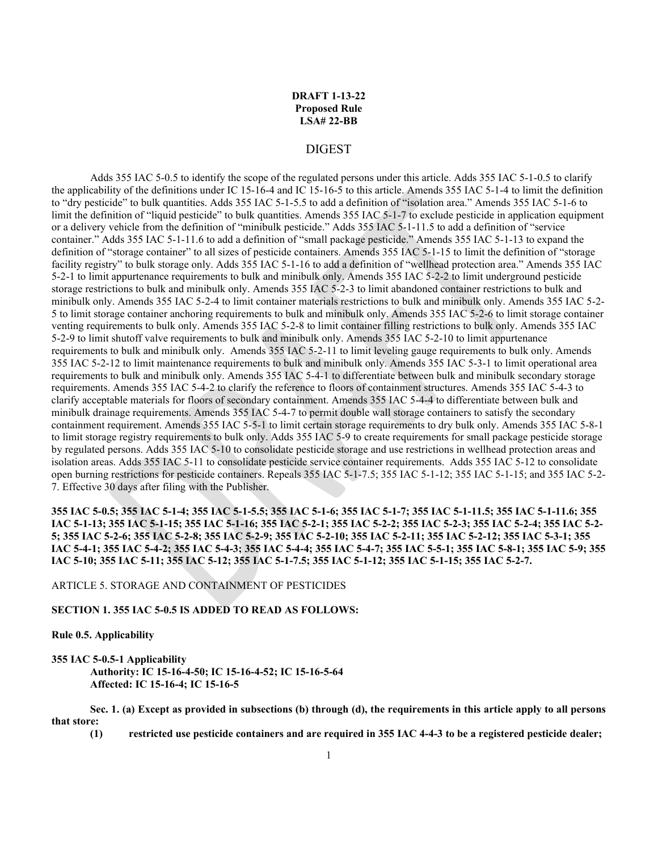## **DRAFT 1-13-22 Proposed Rule LSA# 22-BB**

## DIGEST

Adds 355 IAC 5-0.5 to identify the scope of the regulated persons under this article. Adds 355 IAC 5-1-0.5 to clarify the applicability of the definitions under IC 15-16-4 and IC 15-16-5 to this article. Amends 355 IAC 5-1-4 to limit the definition to "dry pesticide" to bulk quantities. Adds 355 IAC 5-1-5.5 to add a definition of "isolation area." Amends 355 IAC 5-1-6 to limit the definition of "liquid pesticide" to bulk quantities. Amends 355 IAC 5-1-7 to exclude pesticide in application equipment or a delivery vehicle from the definition of "minibulk pesticide." Adds 355 IAC 5-1-11.5 to add a definition of "service container." Adds 355 IAC 5-1-11.6 to add a definition of "small package pesticide." Amends 355 IAC 5-1-13 to expand the definition of "storage container" to all sizes of pesticide containers. Amends 355 IAC 5-1-15 to limit the definition of "storage facility registry" to bulk storage only. Adds 355 IAC 5-1-16 to add a definition of "wellhead protection area." Amends 355 IAC 5-2-1 to limit appurtenance requirements to bulk and minibulk only. Amends 355 IAC 5-2-2 to limit underground pesticide storage restrictions to bulk and minibulk only. Amends 355 IAC 5-2-3 to limit abandoned container restrictions to bulk and minibulk only. Amends 355 IAC 5-2-4 to limit container materials restrictions to bulk and minibulk only. Amends 355 IAC 5-2- 5 to limit storage container anchoring requirements to bulk and minibulk only. Amends 355 IAC 5-2-6 to limit storage container venting requirements to bulk only. Amends 355 IAC 5-2-8 to limit container filling restrictions to bulk only. Amends 355 IAC 5-2-9 to limit shutoff valve requirements to bulk and minibulk only. Amends 355 IAC 5-2-10 to limit appurtenance requirements to bulk and minibulk only. Amends 355 IAC 5-2-11 to limit leveling gauge requirements to bulk only. Amends 355 IAC 5-2-12 to limit maintenance requirements to bulk and minibulk only. Amends 355 IAC 5-3-1 to limit operational area requirements to bulk and minibulk only. Amends 355 IAC 5-4-1 to differentiate between bulk and minibulk secondary storage requirements. Amends 355 IAC 5-4-2 to clarify the reference to floors of containment structures. Amends 355 IAC 5-4-3 to clarify acceptable materials for floors of secondary containment. Amends 355 IAC 5-4-4 to differentiate between bulk and minibulk drainage requirements. Amends 355 IAC 5-4-7 to permit double wall storage containers to satisfy the secondary containment requirement. Amends 355 IAC 5-5-1 to limit certain storage requirements to dry bulk only. Amends 355 IAC 5-8-1 to limit storage registry requirements to bulk only. Adds 355 IAC 5-9 to create requirements for small package pesticide storage by regulated persons. Adds 355 IAC 5-10 to consolidate pesticide storage and use restrictions in wellhead protection areas and isolation areas. Adds 355 IAC 5-11 to consolidate pesticide service container requirements. Adds 355 IAC 5-12 to consolidate open burning restrictions for pesticide containers. Repeals 355 IAC 5-1-7.5; 355 IAC 5-1-12; 355 IAC 5-1-15; and 355 IAC 5-2- 7. Effective 30 days after filing with the Publisher.

**355 IAC 5-0.5; 355 IAC 5-1-4; 355 IAC 5-1-5.5; 355 IAC 5-1-6; 355 IAC 5-1-7; 355 IAC 5-1-11.5; 355 IAC 5-1-11.6; 355 IAC 5-1-13; 355 IAC 5-1-15; 355 IAC 5-1-16; 355 IAC 5-2-1; 355 IAC 5-2-2; 355 IAC 5-2-3; 355 IAC 5-2-4; 355 IAC 5-2- 5; 355 IAC 5-2-6; 355 IAC 5-2-8; 355 IAC 5-2-9; 355 IAC 5-2-10; 355 IAC 5-2-11; 355 IAC 5-2-12; 355 IAC 5-3-1; 355 IAC 5-4-1; 355 IAC 5-4-2; 355 IAC 5-4-3; 355 IAC 5-4-4; 355 IAC 5-4-7; 355 IAC 5-5-1; 355 IAC 5-8-1; 355 IAC 5-9; 355 IAC 5-10; 355 IAC 5-11; 355 IAC 5-12; 355 IAC 5-1-7.5; 355 IAC 5-1-12; 355 IAC 5-1-15; 355 IAC 5-2-7.**

#### ARTICLE 5. STORAGE AND CONTAINMENT OF PESTICIDES

#### **SECTION 1. 355 IAC 5-0.5 IS ADDED TO READ AS FOLLOWS:**

#### **Rule 0.5. Applicability**

#### **355 IAC 5-0.5-1 Applicability Authority: IC 15-16-4-50; IC 15-16-4-52; IC 15-16-5-64 Affected: IC 15-16-4; IC 15-16-5**

**Sec. 1. (a) Except as provided in subsections (b) through (d), the requirements in this article apply to all persons that store:**

**(1) restricted use pesticide containers and are required in 355 IAC 4-4-3 to be a registered pesticide dealer;**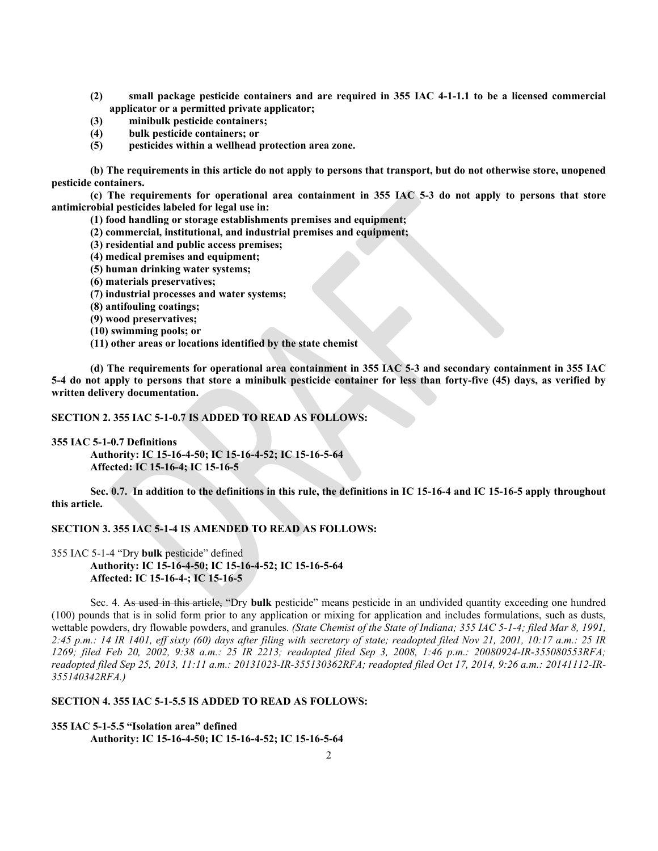- **(2) small package pesticide containers and are required in 355 IAC 4-1-1.1 to be a licensed commercial applicator or a permitted private applicator;**
- **(3) minibulk pesticide containers;**
- **(4) bulk pesticide containers; or**
- **(5) pesticides within a wellhead protection area zone.**

**(b) The requirements in this article do not apply to persons that transport, but do not otherwise store, unopened pesticide containers.**

**(c) The requirements for operational area containment in 355 IAC 5-3 do not apply to persons that store antimicrobial pesticides labeled for legal use in:**

**(1) food handling or storage establishments premises and equipment;** 

- **(2) commercial, institutional, and industrial premises and equipment;**
- **(3) residential and public access premises;**
- **(4) medical premises and equipment;**
- **(5) human drinking water systems;**
- **(6) materials preservatives;**
- **(7) industrial processes and water systems;**
- **(8) antifouling coatings;**
- **(9) wood preservatives;**
- **(10) swimming pools; or**
- **(11) other areas or locations identified by the state chemist**

**(d) The requirements for operational area containment in 355 IAC 5-3 and secondary containment in 355 IAC 5-4 do not apply to persons that store a minibulk pesticide container for less than forty-five (45) days, as verified by written delivery documentation.**

**SECTION 2. 355 IAC 5-1-0.7 IS ADDED TO READ AS FOLLOWS:**

**355 IAC 5-1-0.7 Definitions**

**Authority: IC 15-16-4-50; IC 15-16-4-52; IC 15-16-5-64 Affected: IC 15-16-4; IC 15-16-5**

**Sec. 0.7. In addition to the definitions in this rule, the definitions in IC 15-16-4 and IC 15-16-5 apply throughout this article.**

# **SECTION 3. 355 IAC 5-1-4 IS AMENDED TO READ AS FOLLOWS:**

355 IAC 5-1-4 "Dry **bulk** pesticide" defined **Authority: IC 15-16-4-50; IC 15-16-4-52; IC 15-16-5-64 Affected: IC 15-16-4-; IC 15-16-5**

Sec. 4. As used in this article, "Dry **bulk** pesticide" means pesticide in an undivided quantity exceeding one hundred (100) pounds that is in solid form prior to any application or mixing for application and includes formulations, such as dusts, wettable powders, dry flowable powders, and granules. *(State Chemist of the State of Indiana; 355 IAC 5-1-4; filed Mar 8, 1991, 2:45 p.m.: 14 IR 1401, eff sixty (60) days after filing with secretary of state; readopted filed Nov 21, 2001, 10:17 a.m.: 25 IR 1269; filed Feb 20, 2002, 9:38 a.m.: 25 IR 2213; readopted filed Sep 3, 2008, 1:46 p.m.: 20080924-IR-355080553RFA; readopted filed Sep 25, 2013, 11:11 a.m.: 20131023-IR-355130362RFA; readopted filed Oct 17, 2014, 9:26 a.m.: 20141112-IR-355140342RFA.)*

#### **SECTION 4. 355 IAC 5-1-5.5 IS ADDED TO READ AS FOLLOWS:**

**355 IAC 5-1-5.5 "Isolation area" defined Authority: IC 15-16-4-50; IC 15-16-4-52; IC 15-16-5-64**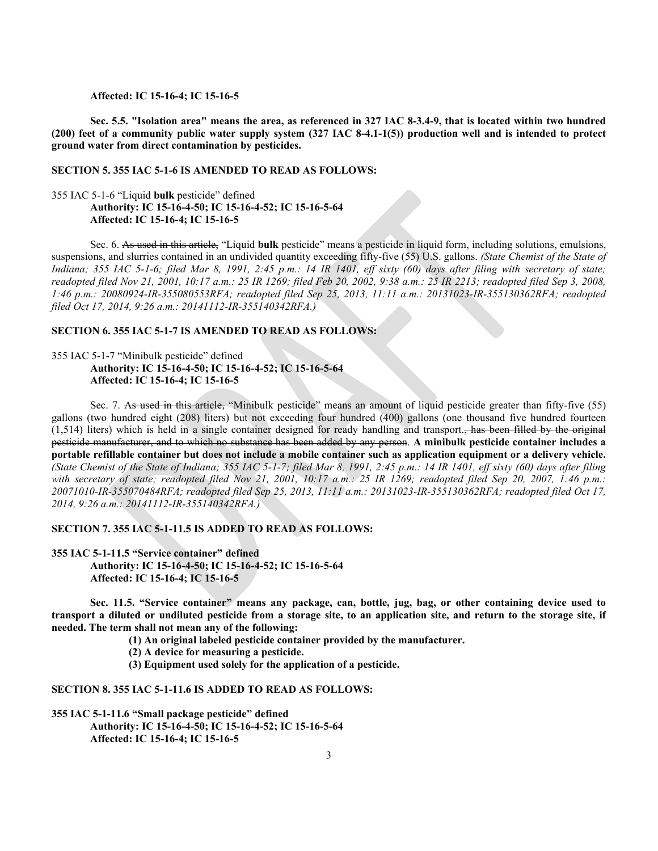**Affected: IC 15-16-4; IC 15-16-5**

**Sec. 5.5. "Isolation area" means the area, as referenced in 327 IAC 8-3.4-9, that is located within two hundred (200) feet of a community public water supply system (327 IAC 8-4.1-1(5)) production well and is intended to protect ground water from direct contamination by pesticides.**

## **SECTION 5. 355 IAC 5-1-6 IS AMENDED TO READ AS FOLLOWS:**

## 355 IAC 5-1-6 "Liquid **bulk** pesticide" defined **Authority: IC 15-16-4-50; IC 15-16-4-52; IC 15-16-5-64 Affected: IC 15-16-4; IC 15-16-5**

Sec. 6. As used in this article, "Liquid **bulk** pesticide" means a pesticide in liquid form, including solutions, emulsions, suspensions, and slurries contained in an undivided quantity exceeding fifty-five (55) U.S. gallons. *(State Chemist of the State of Indiana; 355 IAC 5-1-6; filed Mar 8, 1991, 2:45 p.m.: 14 IR 1401, eff sixty (60) days after filing with secretary of state; readopted filed Nov 21, 2001, 10:17 a.m.: 25 IR 1269; filed Feb 20, 2002, 9:38 a.m.: 25 IR 2213; readopted filed Sep 3, 2008, 1:46 p.m.: 20080924-IR-355080553RFA; readopted filed Sep 25, 2013, 11:11 a.m.: 20131023-IR-355130362RFA; readopted filed Oct 17, 2014, 9:26 a.m.: 20141112-IR-355140342RFA.)*

## **SECTION 6. 355 IAC 5-1-7 IS AMENDED TO READ AS FOLLOWS:**

355 IAC 5-1-7 "Minibulk pesticide" defined **Authority: IC 15-16-4-50; IC 15-16-4-52; IC 15-16-5-64 Affected: IC 15-16-4; IC 15-16-5**

Sec. 7. As used in this article, "Minibulk pesticide" means an amount of liquid pesticide greater than fifty-five (55) gallons (two hundred eight (208) liters) but not exceeding four hundred (400) gallons (one thousand five hundred fourteen  $(1,514)$  liters) which is held in a single container designed for ready handling and transport. has been filled by the original pesticide manufacturer, and to which no substance has been added by any person. **A minibulk pesticide container includes a portable refillable container but does not include a mobile container such as application equipment or a delivery vehicle.**  *(State Chemist of the State of Indiana; 355 IAC 5-1-7; filed Mar 8, 1991, 2:45 p.m.: 14 IR 1401, eff sixty (60) days after filing with secretary of state; readopted filed Nov 21, 2001, 10:17 a.m.: 25 IR 1269; readopted filed Sep 20, 2007, 1:46 p.m.: 20071010-IR-355070484RFA; readopted filed Sep 25, 2013, 11:11 a.m.: 20131023-IR-355130362RFA; readopted filed Oct 17, 2014, 9:26 a.m.: 20141112-IR-355140342RFA.)*

## **SECTION 7. 355 IAC 5-1-11.5 IS ADDED TO READ AS FOLLOWS:**

**355 IAC 5-1-11.5 "Service container" defined Authority: IC 15-16-4-50; IC 15-16-4-52; IC 15-16-5-64 Affected: IC 15-16-4; IC 15-16-5**

**Sec. 11.5. "Service container" means any package, can, bottle, jug, bag, or other containing device used to transport a diluted or undiluted pesticide from a storage site, to an application site, and return to the storage site, if needed. The term shall not mean any of the following:**

**(1) An original labeled pesticide container provided by the manufacturer.**

**(2) A device for measuring a pesticide.**

**(3) Equipment used solely for the application of a pesticide.**

**SECTION 8. 355 IAC 5-1-11.6 IS ADDED TO READ AS FOLLOWS:**

**355 IAC 5-1-11.6 "Small package pesticide" defined Authority: IC 15-16-4-50; IC 15-16-4-52; IC 15-16-5-64 Affected: IC 15-16-4; IC 15-16-5**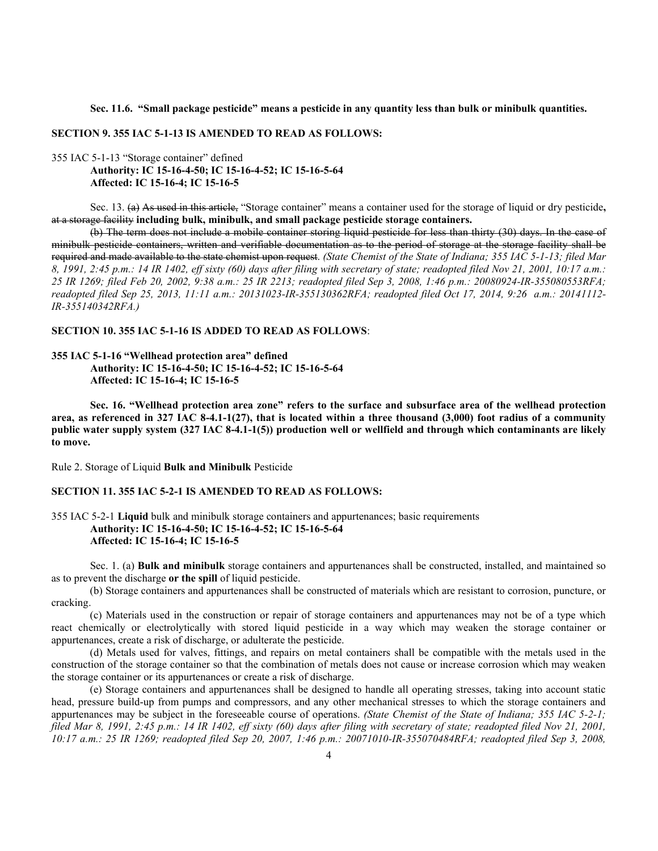#### **Sec. 11.6. "Small package pesticide" means a pesticide in any quantity less than bulk or minibulk quantities.**

#### **SECTION 9. 355 IAC 5-1-13 IS AMENDED TO READ AS FOLLOWS:**

## 355 IAC 5-1-13 "Storage container" defined **Authority: IC 15-16-4-50; IC 15-16-4-52; IC 15-16-5-64 Affected: IC 15-16-4; IC 15-16-5**

Sec. 13. (a) As used in this article, "Storage container" means a container used for the storage of liquid or dry pesticide**,** at a storage facility **including bulk, minibulk, and small package pesticide storage containers.**

(b) The term does not include a mobile container storing liquid pesticide for less than thirty (30) days. In the case of minibulk pesticide containers, written and verifiable documentation as to the period of storage at the storage facility shall be required and made available to the state chemist upon request. *(State Chemist of the State of Indiana; 355 IAC 5-1-13; filed Mar 8, 1991, 2:45 p.m.: 14 IR 1402, eff sixty (60) days after filing with secretary of state; readopted filed Nov 21, 2001, 10:17 a.m.: 25 IR 1269; filed Feb 20, 2002, 9:38 a.m.: 25 IR 2213; readopted filed Sep 3, 2008, 1:46 p.m.: 20080924-IR-355080553RFA; readopted filed Sep 25, 2013, 11:11 a.m.: 20131023-IR-355130362RFA; readopted filed Oct 17, 2014, 9:26 a.m.: 20141112- IR-355140342RFA.)*

## **SECTION 10. 355 IAC 5-1-16 IS ADDED TO READ AS FOLLOWS**:

#### **355 IAC 5-1-16 "Wellhead protection area" defined**

**Authority: IC 15-16-4-50; IC 15-16-4-52; IC 15-16-5-64 Affected: IC 15-16-4; IC 15-16-5**

**Sec. 16. "Wellhead protection area zone" refers to the surface and subsurface area of the wellhead protection area, as referenced in 327 IAC 8-4.1-1(27), that is located within a three thousand (3,000) foot radius of a community public water supply system (327 IAC 8-4.1-1(5)) production well or wellfield and through which contaminants are likely to move.**

Rule 2. Storage of Liquid **Bulk and Minibulk** Pesticide

## **SECTION 11. 355 IAC 5-2-1 IS AMENDED TO READ AS FOLLOWS:**

# 355 IAC 5-2-1 **Liquid** bulk and minibulk storage containers and appurtenances; basic requirements **Authority: IC 15-16-4-50; IC 15-16-4-52; IC 15-16-5-64 Affected: IC 15-16-4; IC 15-16-5**

Sec. 1. (a) **Bulk and minibulk** storage containers and appurtenances shall be constructed, installed, and maintained so as to prevent the discharge **or the spill** of liquid pesticide.

(b) Storage containers and appurtenances shall be constructed of materials which are resistant to corrosion, puncture, or cracking.

(c) Materials used in the construction or repair of storage containers and appurtenances may not be of a type which react chemically or electrolytically with stored liquid pesticide in a way which may weaken the storage container or appurtenances, create a risk of discharge, or adulterate the pesticide.

(d) Metals used for valves, fittings, and repairs on metal containers shall be compatible with the metals used in the construction of the storage container so that the combination of metals does not cause or increase corrosion which may weaken the storage container or its appurtenances or create a risk of discharge.

(e) Storage containers and appurtenances shall be designed to handle all operating stresses, taking into account static head, pressure build-up from pumps and compressors, and any other mechanical stresses to which the storage containers and appurtenances may be subject in the foreseeable course of operations. *(State Chemist of the State of Indiana; 355 IAC 5-2-1; filed Mar 8, 1991, 2:45 p.m.: 14 IR 1402, eff sixty (60) days after filing with secretary of state; readopted filed Nov 21, 2001, 10:17 a.m.: 25 IR 1269; readopted filed Sep 20, 2007, 1:46 p.m.: 20071010-IR-355070484RFA; readopted filed Sep 3, 2008,*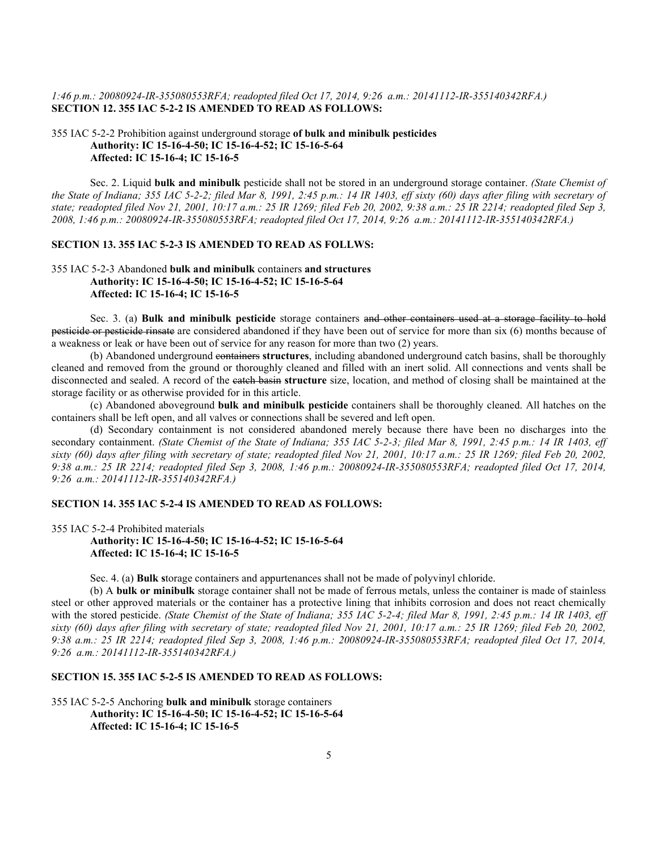## *1:46 p.m.: 20080924-IR-355080553RFA; readopted filed Oct 17, 2014, 9:26 a.m.: 20141112-IR-355140342RFA.)* **SECTION 12. 355 IAC 5-2-2 IS AMENDED TO READ AS FOLLOWS:**

## 355 IAC 5-2-2 Prohibition against underground storage **of bulk and minibulk pesticides Authority: IC 15-16-4-50; IC 15-16-4-52; IC 15-16-5-64 Affected: IC 15-16-4; IC 15-16-5**

Sec. 2. Liquid **bulk and minibulk** pesticide shall not be stored in an underground storage container. *(State Chemist of the State of Indiana; 355 IAC 5-2-2; filed Mar 8, 1991, 2:45 p.m.: 14 IR 1403, eff sixty (60) days after filing with secretary of state; readopted filed Nov 21, 2001, 10:17 a.m.: 25 IR 1269; filed Feb 20, 2002, 9:38 a.m.: 25 IR 2214; readopted filed Sep 3, 2008, 1:46 p.m.: 20080924-IR-355080553RFA; readopted filed Oct 17, 2014, 9:26 a.m.: 20141112-IR-355140342RFA.)*

# **SECTION 13. 355 IAC 5-2-3 IS AMENDED TO READ AS FOLLWS:**

# 355 IAC 5-2-3 Abandoned **bulk and minibulk** containers **and structures Authority: IC 15-16-4-50; IC 15-16-4-52; IC 15-16-5-64 Affected: IC 15-16-4; IC 15-16-5**

Sec. 3. (a) **Bulk and minibulk pesticide** storage containers and other containers used at a storage facility to hold pesticide or pesticide rinsate are considered abandoned if they have been out of service for more than six (6) months because of a weakness or leak or have been out of service for any reason for more than two (2) years.

(b) Abandoned underground containers **structures**, including abandoned underground catch basins, shall be thoroughly cleaned and removed from the ground or thoroughly cleaned and filled with an inert solid. All connections and vents shall be disconnected and sealed. A record of the catch basin **structure** size, location, and method of closing shall be maintained at the storage facility or as otherwise provided for in this article.

(c) Abandoned aboveground **bulk and minibulk pesticide** containers shall be thoroughly cleaned. All hatches on the containers shall be left open, and all valves or connections shall be severed and left open.

(d) Secondary containment is not considered abandoned merely because there have been no discharges into the secondary containment. *(State Chemist of the State of Indiana; 355 IAC 5-2-3; filed Mar 8, 1991, 2:45 p.m.: 14 IR 1403, eff sixty (60) days after filing with secretary of state; readopted filed Nov 21, 2001, 10:17 a.m.: 25 IR 1269; filed Feb 20, 2002, 9:38 a.m.: 25 IR 2214; readopted filed Sep 3, 2008, 1:46 p.m.: 20080924-IR-355080553RFA; readopted filed Oct 17, 2014, 9:26 a.m.: 20141112-IR-355140342RFA.)*

#### **SECTION 14. 355 IAC 5-2-4 IS AMENDED TO READ AS FOLLOWS:**

## 355 IAC 5-2-4 Prohibited materials

**Authority: IC 15-16-4-50; IC 15-16-4-52; IC 15-16-5-64 Affected: IC 15-16-4; IC 15-16-5**

Sec. 4. (a) **Bulk s**torage containers and appurtenances shall not be made of polyvinyl chloride.

(b) A **bulk or minibulk** storage container shall not be made of ferrous metals, unless the container is made of stainless steel or other approved materials or the container has a protective lining that inhibits corrosion and does not react chemically with the stored pesticide. *(State Chemist of the State of Indiana; 355 IAC 5-2-4; filed Mar 8, 1991, 2:45 p.m.: 14 IR 1403, eff sixty (60) days after filing with secretary of state; readopted filed Nov 21, 2001, 10:17 a.m.: 25 IR 1269; filed Feb 20, 2002, 9:38 a.m.: 25 IR 2214; readopted filed Sep 3, 2008, 1:46 p.m.: 20080924-IR-355080553RFA; readopted filed Oct 17, 2014, 9:26 a.m.: 20141112-IR-355140342RFA.)*

# **SECTION 15. 355 IAC 5-2-5 IS AMENDED TO READ AS FOLLOWS:**

355 IAC 5-2-5 Anchoring **bulk and minibulk** storage containers **Authority: IC 15-16-4-50; IC 15-16-4-52; IC 15-16-5-64 Affected: IC 15-16-4; IC 15-16-5**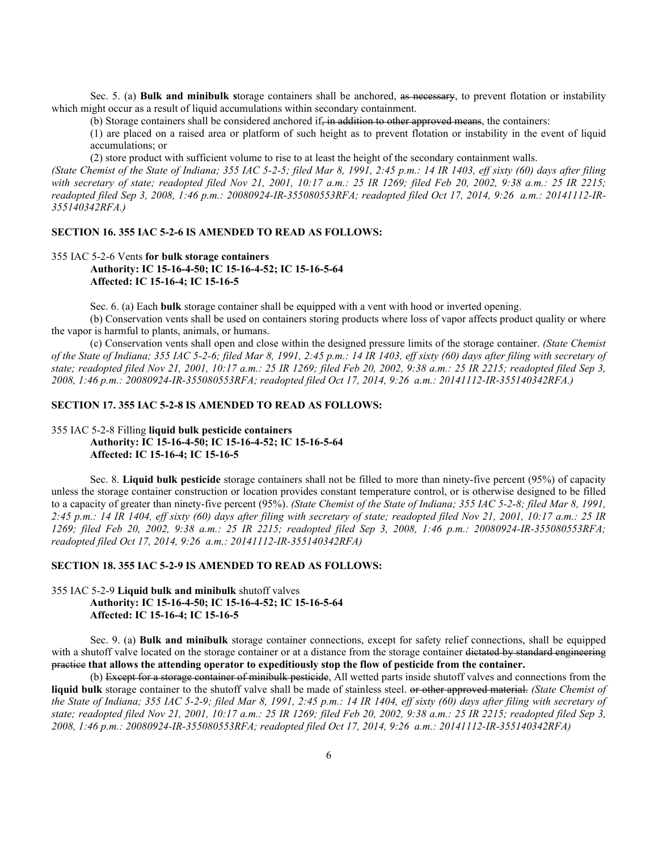Sec. 5. (a) **Bulk and minibulk s**torage containers shall be anchored, as necessary, to prevent flotation or instability which might occur as a result of liquid accumulations within secondary containment.

(b) Storage containers shall be considered anchored if, in addition to other approved means, the containers:

(1) are placed on a raised area or platform of such height as to prevent flotation or instability in the event of liquid accumulations; or

(2) store product with sufficient volume to rise to at least the height of the secondary containment walls.

*(State Chemist of the State of Indiana; 355 IAC 5-2-5; filed Mar 8, 1991, 2:45 p.m.: 14 IR 1403, eff sixty (60) days after filing with secretary of state; readopted filed Nov 21, 2001, 10:17 a.m.: 25 IR 1269; filed Feb 20, 2002, 9:38 a.m.: 25 IR 2215; readopted filed Sep 3, 2008, 1:46 p.m.: 20080924-IR-355080553RFA; readopted filed Oct 17, 2014, 9:26 a.m.: 20141112-IR-355140342RFA.)*

#### **SECTION 16. 355 IAC 5-2-6 IS AMENDED TO READ AS FOLLOWS:**

# 355 IAC 5-2-6 Vents **for bulk storage containers Authority: IC 15-16-4-50; IC 15-16-4-52; IC 15-16-5-64 Affected: IC 15-16-4; IC 15-16-5**

Sec. 6. (a) Each **bulk** storage container shall be equipped with a vent with hood or inverted opening.

(b) Conservation vents shall be used on containers storing products where loss of vapor affects product quality or where the vapor is harmful to plants, animals, or humans.

(c) Conservation vents shall open and close within the designed pressure limits of the storage container. *(State Chemist of the State of Indiana; 355 IAC 5-2-6; filed Mar 8, 1991, 2:45 p.m.: 14 IR 1403, eff sixty (60) days after filing with secretary of state; readopted filed Nov 21, 2001, 10:17 a.m.: 25 IR 1269; filed Feb 20, 2002, 9:38 a.m.: 25 IR 2215; readopted filed Sep 3, 2008, 1:46 p.m.: 20080924-IR-355080553RFA; readopted filed Oct 17, 2014, 9:26 a.m.: 20141112-IR-355140342RFA.)*

#### **SECTION 17. 355 IAC 5-2-8 IS AMENDED TO READ AS FOLLOWS:**

## 355 IAC 5-2-8 Filling **liquid bulk pesticide containers Authority: IC 15-16-4-50; IC 15-16-4-52; IC 15-16-5-64 Affected: IC 15-16-4; IC 15-16-5**

Sec. 8. **Liquid bulk pesticide** storage containers shall not be filled to more than ninety-five percent (95%) of capacity unless the storage container construction or location provides constant temperature control, or is otherwise designed to be filled to a capacity of greater than ninety-five percent (95%). *(State Chemist of the State of Indiana; 355 IAC 5-2-8; filed Mar 8, 1991, 2:45 p.m.: 14 IR 1404, eff sixty (60) days after filing with secretary of state; readopted filed Nov 21, 2001, 10:17 a.m.: 25 IR 1269; filed Feb 20, 2002, 9:38 a.m.: 25 IR 2215; readopted filed Sep 3, 2008, 1:46 p.m.: 20080924-IR-355080553RFA; readopted filed Oct 17, 2014, 9:26 a.m.: 20141112-IR-355140342RFA)*

# **SECTION 18. 355 IAC 5-2-9 IS AMENDED TO READ AS FOLLOWS:**

355 IAC 5-2-9 **Liquid bulk and minibulk** shutoff valves **Authority: IC 15-16-4-50; IC 15-16-4-52; IC 15-16-5-64 Affected: IC 15-16-4; IC 15-16-5**

Sec. 9. (a) **Bulk and minibulk** storage container connections, except for safety relief connections, shall be equipped with a shutoff valve located on the storage container or at a distance from the storage container <del>dictated by standard engineering</del> practice **that allows the attending operator to expeditiously stop the flow of pesticide from the container.**

(b) Except for a storage container of minibulk pesticide, All wetted parts inside shutoff valves and connections from the **liquid bulk** storage container to the shutoff valve shall be made of stainless steel. or other approved material. *(State Chemist of the State of Indiana; 355 IAC 5-2-9; filed Mar 8, 1991, 2:45 p.m.: 14 IR 1404, eff sixty (60) days after filing with secretary of state; readopted filed Nov 21, 2001, 10:17 a.m.: 25 IR 1269; filed Feb 20, 2002, 9:38 a.m.: 25 IR 2215; readopted filed Sep 3, 2008, 1:46 p.m.: 20080924-IR-355080553RFA; readopted filed Oct 17, 2014, 9:26 a.m.: 20141112-IR-355140342RFA)*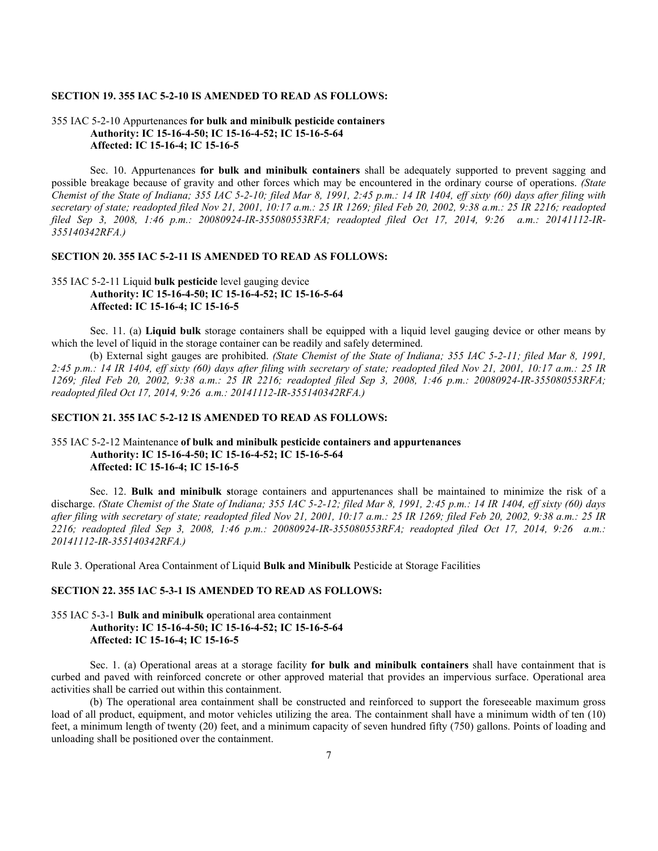#### **SECTION 19. 355 IAC 5-2-10 IS AMENDED TO READ AS FOLLOWS:**

## 355 IAC 5-2-10 Appurtenances **for bulk and minibulk pesticide containers Authority: IC 15-16-4-50; IC 15-16-4-52; IC 15-16-5-64 Affected: IC 15-16-4; IC 15-16-5**

Sec. 10. Appurtenances **for bulk and minibulk containers** shall be adequately supported to prevent sagging and possible breakage because of gravity and other forces which may be encountered in the ordinary course of operations. *(State Chemist of the State of Indiana; 355 IAC 5-2-10; filed Mar 8, 1991, 2:45 p.m.: 14 IR 1404, eff sixty (60) days after filing with secretary of state; readopted filed Nov 21, 2001, 10:17 a.m.: 25 IR 1269; filed Feb 20, 2002, 9:38 a.m.: 25 IR 2216; readopted filed Sep 3, 2008, 1:46 p.m.: 20080924-IR-355080553RFA; readopted filed Oct 17, 2014, 9:26 a.m.: 20141112-IR-355140342RFA.)*

## **SECTION 20. 355 IAC 5-2-11 IS AMENDED TO READ AS FOLLOWS:**

# 355 IAC 5-2-11 Liquid **bulk pesticide** level gauging device **Authority: IC 15-16-4-50; IC 15-16-4-52; IC 15-16-5-64 Affected: IC 15-16-4; IC 15-16-5**

Sec. 11. (a) **Liquid bulk** storage containers shall be equipped with a liquid level gauging device or other means by which the level of liquid in the storage container can be readily and safely determined.

(b) External sight gauges are prohibited. *(State Chemist of the State of Indiana; 355 IAC 5-2-11; filed Mar 8, 1991, 2:45 p.m.: 14 IR 1404, eff sixty (60) days after filing with secretary of state; readopted filed Nov 21, 2001, 10:17 a.m.: 25 IR 1269; filed Feb 20, 2002, 9:38 a.m.: 25 IR 2216; readopted filed Sep 3, 2008, 1:46 p.m.: 20080924-IR-355080553RFA; readopted filed Oct 17, 2014, 9:26 a.m.: 20141112-IR-355140342RFA.)*

#### **SECTION 21. 355 IAC 5-2-12 IS AMENDED TO READ AS FOLLOWS:**

# 355 IAC 5-2-12 Maintenance **of bulk and minibulk pesticide containers and appurtenances Authority: IC 15-16-4-50; IC 15-16-4-52; IC 15-16-5-64 Affected: IC 15-16-4; IC 15-16-5**

Sec. 12. **Bulk and minibulk s**torage containers and appurtenances shall be maintained to minimize the risk of a discharge. *(State Chemist of the State of Indiana; 355 IAC 5-2-12; filed Mar 8, 1991, 2:45 p.m.: 14 IR 1404, eff sixty (60) days after filing with secretary of state; readopted filed Nov 21, 2001, 10:17 a.m.: 25 IR 1269; filed Feb 20, 2002, 9:38 a.m.: 25 IR 2216; readopted filed Sep 3, 2008, 1:46 p.m.: 20080924-IR-355080553RFA; readopted filed Oct 17, 2014, 9:26 a.m.: 20141112-IR-355140342RFA.)*

Rule 3. Operational Area Containment of Liquid **Bulk and Minibulk** Pesticide at Storage Facilities

#### **SECTION 22. 355 IAC 5-3-1 IS AMENDED TO READ AS FOLLOWS:**

## 355 IAC 5-3-1 **Bulk and minibulk o**perational area containment **Authority: IC 15-16-4-50; IC 15-16-4-52; IC 15-16-5-64 Affected: IC 15-16-4; IC 15-16-5**

Sec. 1. (a) Operational areas at a storage facility **for bulk and minibulk containers** shall have containment that is curbed and paved with reinforced concrete or other approved material that provides an impervious surface. Operational area activities shall be carried out within this containment.

(b) The operational area containment shall be constructed and reinforced to support the foreseeable maximum gross load of all product, equipment, and motor vehicles utilizing the area. The containment shall have a minimum width of ten (10) feet, a minimum length of twenty (20) feet, and a minimum capacity of seven hundred fifty (750) gallons. Points of loading and unloading shall be positioned over the containment.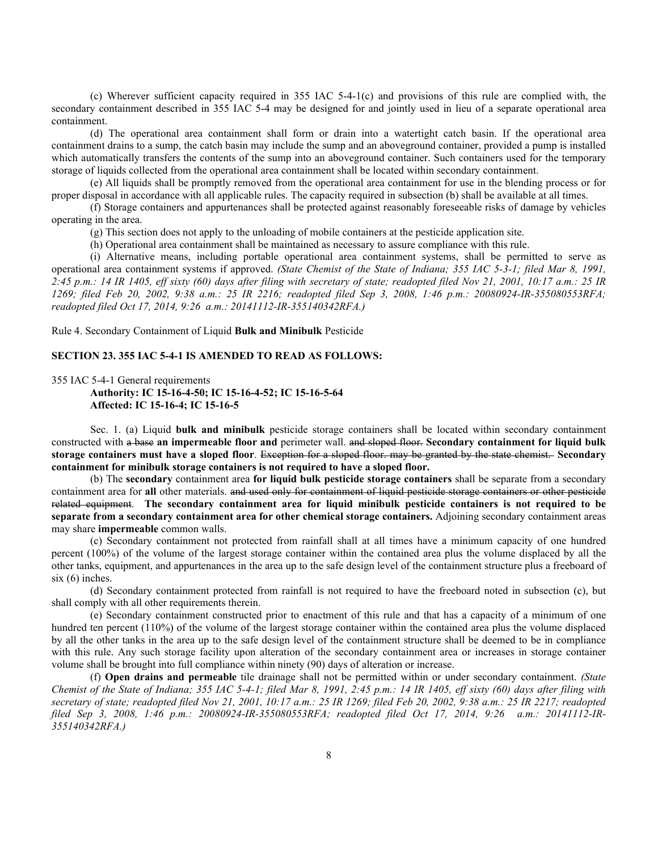(c) Wherever sufficient capacity required in 355 IAC 5-4-1(c) and provisions of this rule are complied with, the secondary containment described in 355 IAC 5-4 may be designed for and jointly used in lieu of a separate operational area containment.

(d) The operational area containment shall form or drain into a watertight catch basin. If the operational area containment drains to a sump, the catch basin may include the sump and an aboveground container, provided a pump is installed which automatically transfers the contents of the sump into an aboveground container. Such containers used for the temporary storage of liquids collected from the operational area containment shall be located within secondary containment.

(e) All liquids shall be promptly removed from the operational area containment for use in the blending process or for proper disposal in accordance with all applicable rules. The capacity required in subsection (b) shall be available at all times.

(f) Storage containers and appurtenances shall be protected against reasonably foreseeable risks of damage by vehicles operating in the area.

(g) This section does not apply to the unloading of mobile containers at the pesticide application site.

(h) Operational area containment shall be maintained as necessary to assure compliance with this rule.

(i) Alternative means, including portable operational area containment systems, shall be permitted to serve as operational area containment systems if approved. *(State Chemist of the State of Indiana; 355 IAC 5-3-1; filed Mar 8, 1991, 2:45 p.m.: 14 IR 1405, eff sixty (60) days after filing with secretary of state; readopted filed Nov 21, 2001, 10:17 a.m.: 25 IR 1269; filed Feb 20, 2002, 9:38 a.m.: 25 IR 2216; readopted filed Sep 3, 2008, 1:46 p.m.: 20080924-IR-355080553RFA; readopted filed Oct 17, 2014, 9:26 a.m.: 20141112-IR-355140342RFA.)*

Rule 4. Secondary Containment of Liquid **Bulk and Minibulk** Pesticide

### **SECTION 23. 355 IAC 5-4-1 IS AMENDED TO READ AS FOLLOWS:**

355 IAC 5-4-1 General requirements

**Authority: IC 15-16-4-50; IC 15-16-4-52; IC 15-16-5-64 Affected: IC 15-16-4; IC 15-16-5**

Sec. 1. (a) Liquid **bulk and minibulk** pesticide storage containers shall be located within secondary containment constructed with a base **an impermeable floor and** perimeter wall. and sloped floor. **Secondary containment for liquid bulk storage containers must have a sloped floor**. Exception for a sloped floor. may be granted by the state chemist. **Secondary containment for minibulk storage containers is not required to have a sloped floor.**

(b) The **secondary** containment area **for liquid bulk pesticide storage containers** shall be separate from a secondary containment area for **all** other materials. and used only for containment of liquid pesticide storage containers or other pesticide related equipment. **The secondary containment area for liquid minibulk pesticide containers is not required to be separate from a secondary containment area for other chemical storage containers.** Adjoining secondary containment areas may share **impermeable** common walls.

(c) Secondary containment not protected from rainfall shall at all times have a minimum capacity of one hundred percent (100%) of the volume of the largest storage container within the contained area plus the volume displaced by all the other tanks, equipment, and appurtenances in the area up to the safe design level of the containment structure plus a freeboard of six (6) inches.

(d) Secondary containment protected from rainfall is not required to have the freeboard noted in subsection (c), but shall comply with all other requirements therein.

(e) Secondary containment constructed prior to enactment of this rule and that has a capacity of a minimum of one hundred ten percent (110%) of the volume of the largest storage container within the contained area plus the volume displaced by all the other tanks in the area up to the safe design level of the containment structure shall be deemed to be in compliance with this rule. Any such storage facility upon alteration of the secondary containment area or increases in storage container volume shall be brought into full compliance within ninety (90) days of alteration or increase.

(f) **Open drains and permeable** tile drainage shall not be permitted within or under secondary containment. *(State Chemist of the State of Indiana; 355 IAC 5-4-1; filed Mar 8, 1991, 2:45 p.m.: 14 IR 1405, eff sixty (60) days after filing with secretary of state; readopted filed Nov 21, 2001, 10:17 a.m.: 25 IR 1269; filed Feb 20, 2002, 9:38 a.m.: 25 IR 2217; readopted filed Sep 3, 2008, 1:46 p.m.: 20080924-IR-355080553RFA; readopted filed Oct 17, 2014, 9:26 a.m.: 20141112-IR-355140342RFA.)*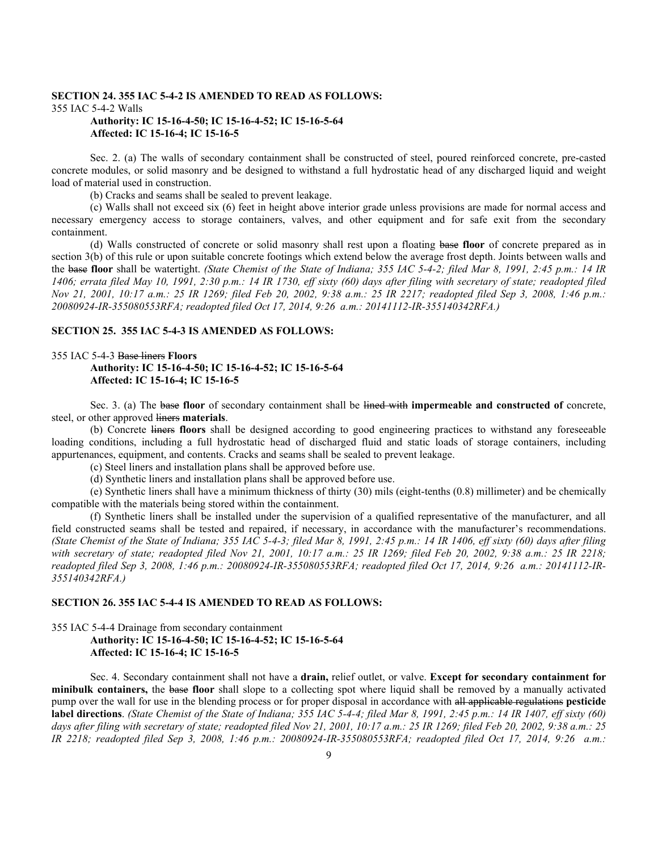#### **SECTION 24. 355 IAC 5-4-2 IS AMENDED TO READ AS FOLLOWS:** 355 IAC 5-4-2 Walls **Authority: IC 15-16-4-50; IC 15-16-4-52; IC 15-16-5-64**

# **Affected: IC 15-16-4; IC 15-16-5**

Sec. 2. (a) The walls of secondary containment shall be constructed of steel, poured reinforced concrete, pre-casted concrete modules, or solid masonry and be designed to withstand a full hydrostatic head of any discharged liquid and weight load of material used in construction.

(b) Cracks and seams shall be sealed to prevent leakage.

(c) Walls shall not exceed six (6) feet in height above interior grade unless provisions are made for normal access and necessary emergency access to storage containers, valves, and other equipment and for safe exit from the secondary containment.

(d) Walls constructed of concrete or solid masonry shall rest upon a floating base **floor** of concrete prepared as in section 3(b) of this rule or upon suitable concrete footings which extend below the average frost depth. Joints between walls and the base **floor** shall be watertight. *(State Chemist of the State of Indiana; 355 IAC 5-4-2; filed Mar 8, 1991, 2:45 p.m.: 14 IR 1406; errata filed May 10, 1991, 2:30 p.m.: 14 IR 1730, eff sixty (60) days after filing with secretary of state; readopted filed Nov 21, 2001, 10:17 a.m.: 25 IR 1269; filed Feb 20, 2002, 9:38 a.m.: 25 IR 2217; readopted filed Sep 3, 2008, 1:46 p.m.: 20080924-IR-355080553RFA; readopted filed Oct 17, 2014, 9:26 a.m.: 20141112-IR-355140342RFA.)*

## **SECTION 25. 355 IAC 5-4-3 IS AMENDED AS FOLLOWS:**

## 355 IAC 5-4-3 Base liners **Floors Authority: IC 15-16-4-50; IC 15-16-4-52; IC 15-16-5-64 Affected: IC 15-16-4; IC 15-16-5**

Sec. 3. (a) The base **floor** of secondary containment shall be lined with **impermeable and constructed of** concrete, steel, or other approved liners **materials**.

(b) Concrete liners **floors** shall be designed according to good engineering practices to withstand any foreseeable loading conditions, including a full hydrostatic head of discharged fluid and static loads of storage containers, including appurtenances, equipment, and contents. Cracks and seams shall be sealed to prevent leakage.

(c) Steel liners and installation plans shall be approved before use.

(d) Synthetic liners and installation plans shall be approved before use.

(e) Synthetic liners shall have a minimum thickness of thirty (30) mils (eight-tenths (0.8) millimeter) and be chemically compatible with the materials being stored within the containment.

(f) Synthetic liners shall be installed under the supervision of a qualified representative of the manufacturer, and all field constructed seams shall be tested and repaired, if necessary, in accordance with the manufacturer's recommendations. *(State Chemist of the State of Indiana; 355 IAC 5-4-3; filed Mar 8, 1991, 2:45 p.m.: 14 IR 1406, eff sixty (60) days after filing with secretary of state; readopted filed Nov 21, 2001, 10:17 a.m.: 25 IR 1269; filed Feb 20, 2002, 9:38 a.m.: 25 IR 2218; readopted filed Sep 3, 2008, 1:46 p.m.: 20080924-IR-355080553RFA; readopted filed Oct 17, 2014, 9:26 a.m.: 20141112-IR-355140342RFA.)*

## **SECTION 26. 355 IAC 5-4-4 IS AMENDED TO READ AS FOLLOWS:**

355 IAC 5-4-4 Drainage from secondary containment

# **Authority: IC 15-16-4-50; IC 15-16-4-52; IC 15-16-5-64 Affected: IC 15-16-4; IC 15-16-5**

Sec. 4. Secondary containment shall not have a **drain,** relief outlet, or valve. **Except for secondary containment for minibulk containers,** the base **floor** shall slope to a collecting spot where liquid shall be removed by a manually activated pump over the wall for use in the blending process or for proper disposal in accordance with all applicable regulations **pesticide label directions**. *(State Chemist of the State of Indiana; 355 IAC 5-4-4; filed Mar 8, 1991, 2:45 p.m.: 14 IR 1407, eff sixty (60)*  days after filing with secretary of state; readopted filed Nov 21, 2001, 10:17 a.m.: 25 IR 1269; filed Feb 20, 2002, 9:38 a.m.: 25 *IR 2218; readopted filed Sep 3, 2008, 1:46 p.m.: 20080924-IR-355080553RFA; readopted filed Oct 17, 2014, 9:26 a.m.:*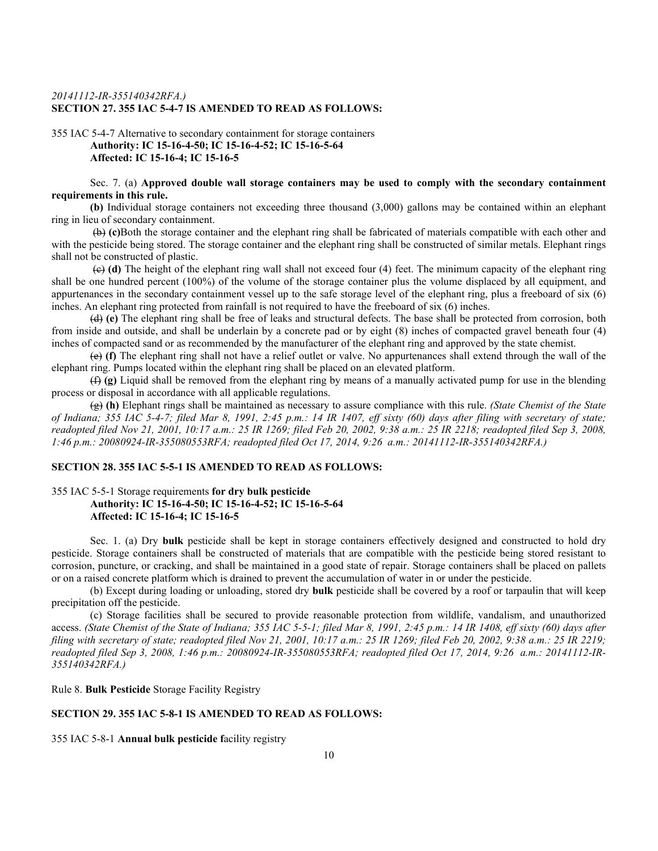## *20141112-IR-355140342RFA.)* **SECTION 27. 355 IAC 5-4-7 IS AMENDED TO READ AS FOLLOWS:**

## 355 IAC 5-4-7 Alternative to secondary containment for storage containers **Authority: IC 15-16-4-50; IC 15-16-4-52; IC 15-16-5-64 Affected: IC 15-16-4; IC 15-16-5**

Sec. 7. (a) **Approved double wall storage containers may be used to comply with the secondary containment requirements in this rule.** 

**(b)** Individual storage containers not exceeding three thousand (3,000) gallons may be contained within an elephant ring in lieu of secondary containment.

(b) **(c)**Both the storage container and the elephant ring shall be fabricated of materials compatible with each other and with the pesticide being stored. The storage container and the elephant ring shall be constructed of similar metals. Elephant rings shall not be constructed of plastic.

(c) **(d)** The height of the elephant ring wall shall not exceed four (4) feet. The minimum capacity of the elephant ring shall be one hundred percent (100%) of the volume of the storage container plus the volume displaced by all equipment, and appurtenances in the secondary containment vessel up to the safe storage level of the elephant ring, plus a freeboard of six (6) inches. An elephant ring protected from rainfall is not required to have the freeboard of six (6) inches.

(d) **(e)** The elephant ring shall be free of leaks and structural defects. The base shall be protected from corrosion, both from inside and outside, and shall be underlain by a concrete pad or by eight (8) inches of compacted gravel beneath four (4) inches of compacted sand or as recommended by the manufacturer of the elephant ring and approved by the state chemist.

(e) **(f)** The elephant ring shall not have a relief outlet or valve. No appurtenances shall extend through the wall of the elephant ring. Pumps located within the elephant ring shall be placed on an elevated platform.

(f) **(g)** Liquid shall be removed from the elephant ring by means of a manually activated pump for use in the blending process or disposal in accordance with all applicable regulations.

(g) **(h)** Elephant rings shall be maintained as necessary to assure compliance with this rule. *(State Chemist of the State of Indiana; 355 IAC 5-4-7; filed Mar 8, 1991, 2:45 p.m.: 14 IR 1407, eff sixty (60) days after filing with secretary of state; readopted filed Nov 21, 2001, 10:17 a.m.: 25 IR 1269; filed Feb 20, 2002, 9:38 a.m.: 25 IR 2218; readopted filed Sep 3, 2008, 1:46 p.m.: 20080924-IR-355080553RFA; readopted filed Oct 17, 2014, 9:26 a.m.: 20141112-IR-355140342RFA.)*

# **SECTION 28. 355 IAC 5-5-1 IS AMENDED TO READ AS FOLLOWS:**

# 355 IAC 5-5-1 Storage requirements **for dry bulk pesticide Authority: IC 15-16-4-50; IC 15-16-4-52; IC 15-16-5-64 Affected: IC 15-16-4; IC 15-16-5**

Sec. 1. (a) Dry **bulk** pesticide shall be kept in storage containers effectively designed and constructed to hold dry pesticide. Storage containers shall be constructed of materials that are compatible with the pesticide being stored resistant to corrosion, puncture, or cracking, and shall be maintained in a good state of repair. Storage containers shall be placed on pallets or on a raised concrete platform which is drained to prevent the accumulation of water in or under the pesticide.

(b) Except during loading or unloading, stored dry **bulk** pesticide shall be covered by a roof or tarpaulin that will keep precipitation off the pesticide.

(c) Storage facilities shall be secured to provide reasonable protection from wildlife, vandalism, and unauthorized access. *(State Chemist of the State of Indiana; 355 IAC 5-5-1; filed Mar 8, 1991, 2:45 p.m.: 14 IR 1408, eff sixty (60) days after filing with secretary of state; readopted filed Nov 21, 2001, 10:17 a.m.: 25 IR 1269; filed Feb 20, 2002, 9:38 a.m.: 25 IR 2219; readopted filed Sep 3, 2008, 1:46 p.m.: 20080924-IR-355080553RFA; readopted filed Oct 17, 2014, 9:26 a.m.: 20141112-IR-355140342RFA.)*

Rule 8. **Bulk Pesticide** Storage Facility Registry

# **SECTION 29. 355 IAC 5-8-1 IS AMENDED TO READ AS FOLLOWS:**

355 IAC 5-8-1 **Annual bulk pesticide f**acility registry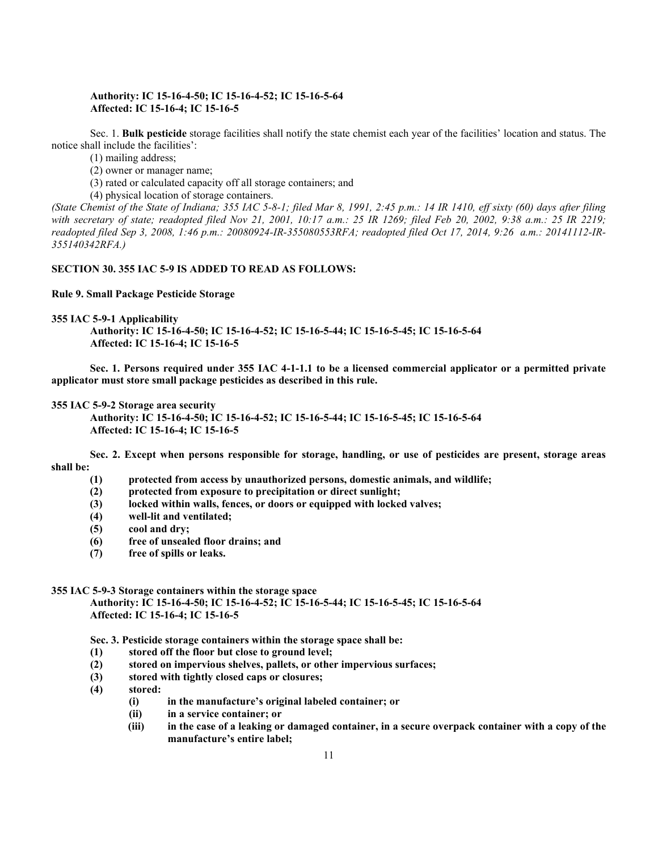#### **Authority: IC 15-16-4-50; IC 15-16-4-52; IC 15-16-5-64 Affected: IC 15-16-4; IC 15-16-5**

Sec. 1. **Bulk pesticide** storage facilities shall notify the state chemist each year of the facilities' location and status. The notice shall include the facilities':

(1) mailing address;

(2) owner or manager name;

(3) rated or calculated capacity off all storage containers; and

(4) physical location of storage containers.

*(State Chemist of the State of Indiana; 355 IAC 5-8-1; filed Mar 8, 1991, 2:45 p.m.: 14 IR 1410, eff sixty (60) days after filing with secretary of state; readopted filed Nov 21, 2001, 10:17 a.m.: 25 IR 1269; filed Feb 20, 2002, 9:38 a.m.: 25 IR 2219; readopted filed Sep 3, 2008, 1:46 p.m.: 20080924-IR-355080553RFA; readopted filed Oct 17, 2014, 9:26 a.m.: 20141112-IR-355140342RFA.)*

#### **SECTION 30. 355 IAC 5-9 IS ADDED TO READ AS FOLLOWS:**

#### **Rule 9. Small Package Pesticide Storage**

**355 IAC 5-9-1 Applicability**

**Authority: IC 15-16-4-50; IC 15-16-4-52; IC 15-16-5-44; IC 15-16-5-45; IC 15-16-5-64 Affected: IC 15-16-4; IC 15-16-5**

**Sec. 1. Persons required under 355 IAC 4-1-1.1 to be a licensed commercial applicator or a permitted private applicator must store small package pesticides as described in this rule.**

#### **355 IAC 5-9-2 Storage area security**

**Authority: IC 15-16-4-50; IC 15-16-4-52; IC 15-16-5-44; IC 15-16-5-45; IC 15-16-5-64 Affected: IC 15-16-4; IC 15-16-5**

**Sec. 2. Except when persons responsible for storage, handling, or use of pesticides are present, storage areas shall be:**

- **(1) protected from access by unauthorized persons, domestic animals, and wildlife;**
- **(2) protected from exposure to precipitation or direct sunlight;**
- **(3) locked within walls, fences, or doors or equipped with locked valves;**
- **(4) well-lit and ventilated;**
- **(5) cool and dry;**
- **(6) free of unsealed floor drains; and**
- **(7) free of spills or leaks.**

## **355 IAC 5-9-3 Storage containers within the storage space**

**Authority: IC 15-16-4-50; IC 15-16-4-52; IC 15-16-5-44; IC 15-16-5-45; IC 15-16-5-64 Affected: IC 15-16-4; IC 15-16-5**

**Sec. 3. Pesticide storage containers within the storage space shall be:**

- **(1) stored off the floor but close to ground level;**
- **(2) stored on impervious shelves, pallets, or other impervious surfaces;**
- **(3) stored with tightly closed caps or closures;**
- **(4) stored:**
	- **(i) in the manufacture's original labeled container; or**
	- **(ii) in a service container; or**
	- **(iii) in the case of a leaking or damaged container, in a secure overpack container with a copy of the manufacture's entire label;**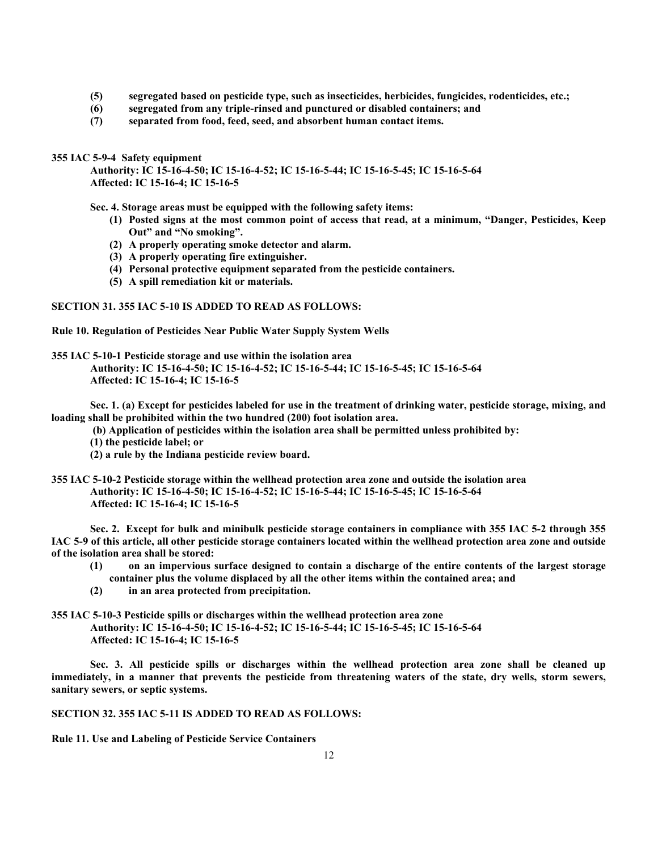- **(5) segregated based on pesticide type, such as insecticides, herbicides, fungicides, rodenticides, etc.;**
- **(6) segregated from any triple-rinsed and punctured or disabled containers; and**
- **(7) separated from food, feed, seed, and absorbent human contact items.**

**355 IAC 5-9-4 Safety equipment**

**Authority: IC 15-16-4-50; IC 15-16-4-52; IC 15-16-5-44; IC 15-16-5-45; IC 15-16-5-64 Affected: IC 15-16-4; IC 15-16-5**

**Sec. 4. Storage areas must be equipped with the following safety items:**

- **(1) Posted signs at the most common point of access that read, at a minimum, "Danger, Pesticides, Keep Out" and "No smoking".**
- **(2) A properly operating smoke detector and alarm.**
- **(3) A properly operating fire extinguisher.**
- **(4) Personal protective equipment separated from the pesticide containers.**
- **(5) A spill remediation kit or materials.**

**SECTION 31. 355 IAC 5-10 IS ADDED TO READ AS FOLLOWS:**

**Rule 10. Regulation of Pesticides Near Public Water Supply System Wells**

**355 IAC 5-10-1 Pesticide storage and use within the isolation area** 

**Authority: IC 15-16-4-50; IC 15-16-4-52; IC 15-16-5-44; IC 15-16-5-45; IC 15-16-5-64 Affected: IC 15-16-4; IC 15-16-5**

**Sec. 1. (a) Except for pesticides labeled for use in the treatment of drinking water, pesticide storage, mixing, and loading shall be prohibited within the two hundred (200) foot isolation area.**

**(b) Application of pesticides within the isolation area shall be permitted unless prohibited by:**

**(1) the pesticide label; or**

**(2) a rule by the Indiana pesticide review board.**

**355 IAC 5-10-2 Pesticide storage within the wellhead protection area zone and outside the isolation area Authority: IC 15-16-4-50; IC 15-16-4-52; IC 15-16-5-44; IC 15-16-5-45; IC 15-16-5-64 Affected: IC 15-16-4; IC 15-16-5**

**Sec. 2. Except for bulk and minibulk pesticide storage containers in compliance with 355 IAC 5-2 through 355 IAC 5-9 of this article, all other pesticide storage containers located within the wellhead protection area zone and outside of the isolation area shall be stored:**

- **(1) on an impervious surface designed to contain a discharge of the entire contents of the largest storage container plus the volume displaced by all the other items within the contained area; and**
- **(2) in an area protected from precipitation.**

**355 IAC 5-10-3 Pesticide spills or discharges within the wellhead protection area zone Authority: IC 15-16-4-50; IC 15-16-4-52; IC 15-16-5-44; IC 15-16-5-45; IC 15-16-5-64 Affected: IC 15-16-4; IC 15-16-5**

**Sec. 3. All pesticide spills or discharges within the wellhead protection area zone shall be cleaned up immediately, in a manner that prevents the pesticide from threatening waters of the state, dry wells, storm sewers, sanitary sewers, or septic systems.**

**SECTION 32. 355 IAC 5-11 IS ADDED TO READ AS FOLLOWS:**

**Rule 11. Use and Labeling of Pesticide Service Containers**